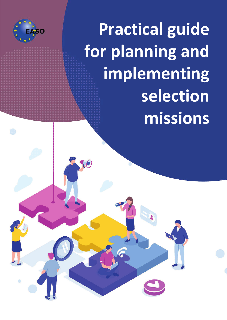

Ó

**Practical guide for planning and implementing selection missions**

 $\Theta$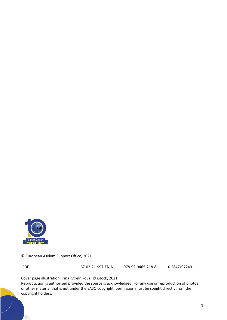

© European Asylum Support Office, 2021

PDF BZ-02-21-997-EN-N 978-92-9465-218-8 10.2847/972491

Cover page illustration, Irina\_Strelnikova, © iStock, 2021

Reproduction is authorised provided the source is acknowledged. For any use or reproduction of photos or other material that is not under the EASO copyright, permission must be sought directly from the copyright holders.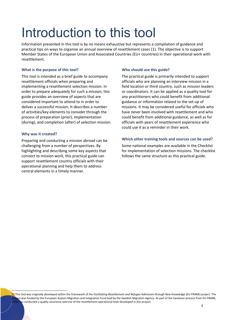# Introduction to this tool

Information presented in this tool is by no means exhaustive but represents a compilation of guidance and practical tips on ways to organise an annual overview of resettlement cases (1). The objective is to support Member States of the European Union and Associated Countries (EU+ countries) in their operational work with resettlement.

## **What is the purpose of this tool?**

This tool is intended as a brief guide to accompany resettlement officials when preparing and implementing a resettlement selection mission. In order to prepare adequately for such a mission, this guide provides an overview of aspects that are considered important to attend to in order to deliver a successful mission. It describes a number of activities/key elements to consider through the process of preparation (prior), implementation (during), and completion (after) of selection mission.

## **Why was it created?**

Preparing and conducting a mission abroad can be challenging from a number of perspectives. By highlighting and describing some key aspects that connect to mission work, this practical guide can support resettlement country officials with their operational planning and help them to address central elements in a timely manner.

## **Who should use this guide?**

The practical guide is primarily intended to support officials who are planning an interview mission in a field location or third country, such as mission leaders or coordinators. It can be applied as a quality tool for any practitioners who could benefit from additional guidance or information related to the set-up of missions. It may be considered useful for officials who have never been involved with resettlement and who could benefit from additional guidance, as well as for officials with years of resettlement experience who could use it as a reminder in their work.

## **Which other training tools and sources can be used?**

Some national examples are available in the Checklist for implementation of selection missions. The checklist follows the same structure as this practical guide.

<sup>(</sup> 1) This tool was originally developed within the framework of the *Facilitating Resettlement and Refugee Admission through New Knowledge* (EU-FRANK) project. The ject was funded by the European Asylum Migration and Integration Fund lead by the Swedish Migration Agency. As part of the handover process from EU-FRANK, as conducted a quality assurance exercise of the resettlement operational tools developed in this project.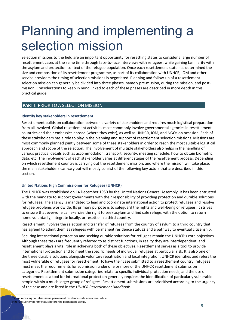## Planning and implementing a selection mission

Selection missions to the field are an important opportunity for resettling states to consider a large number of resettlement cases at the same time through face-to-face interviews with refugees, while gaining familiarity with the asylum and protection context of the refugee population. Once each resettlement state has determined the size and composition of its resettlement programme, as part of its collaboration with UNHCR, IOM and other service providers the timing of selection missions is negotiated. Planning and follow-up of a resettlement selection mission can generally be divided into three phases, namely pre-mission, during the mission, and postmission. Considerations to keep in mind linked to each of these phases are described in more depth in this practical guide.

## **PART I. PRIOR TO A SELECTION MISSION**

## **Identify key stakeholders in resettlement**

Resettlement builds on collaboration between a variety of stakeholders and requires much logistical preparation from all involved. Global resettlement activities most commonly involve governmental agencies in resettlement countries and their embassies abroad (where they exist), as well as UNHCR, IOM, and NGOs on occasion. Each of these stakeholders has a role to play in the planning and support of resettlement selection missions. Missions are most commonly planned jointly between some of these stakeholders in order to reach the most suitable logistical approach and scope of the selection. The involvement of multiple stakeholders also helps in the handling of various practical details such as accommodation, transport, security, meeting schedule, how to obtain biometric data, etc. The involvement of each stakeholder varies at different stages of the resettlement process. Depending on which resettlement country is carrying out the resettlement mission, and where the mission will take place, the main stakeholders can vary but will mostly consist of the following key actors that are described in this section.

## **United Nations High Commissioner for Refugees (UNHCR)**

The UNHCR was established on 14 December 1950 by the United Nations General Assembly. It has been entrusted with the mandate to support governments with their responsibility of providing protection and durable solutions for refugees. The agency is mandated to lead and coordinate international action to protect refugees and resolve refugee problems worldwide. Its primary purpose is to safeguard the rights and well-being of refugees. It strives to ensure that everyone can exercise the right to seek asylum and find safe refuge, with the option to return home voluntarily, integrate locally, or resettle in a third country.

Resettlement involves the selection and transfer of refugees from the country of asylum to a third country that has agreed to admit them as refugees with permanent residence status2 and a pathway to eventual citizenship.

Securing international protection and seeking durable solutions for refugees remain the UNHCR's core objectives. Although these tasks are frequently referred to as distinct functions, in reality they are interdependent, and resettlement plays a vital role in achieving both of these objectives. Resettlement serves as a tool to provide international protection and to meet the specific needs of individual refugees at particular risk. It is also one of the three durable solutions alongside voluntary repatriation and local integration. UNHCR identifies and refers the most vulnerable of refugees for resettlement. To have their case submitted to a resettlement country, refugees must meet the requirements for submission under one or more of the UNHCR resettlement submission categories. Resettlement submission categories relate to specific individual protection needs, and the use of resettlement as a tool for international protection generally requires the identification of particularly vulnerable people within a much larger group of refugees. Resettlement submissions are prioritised according to the urgency of the case and are listed in the *UNHCR ResettlementHandbook*.

ne receiving countries issue permanent residence status on arrival while sue temporary status before the permanent status.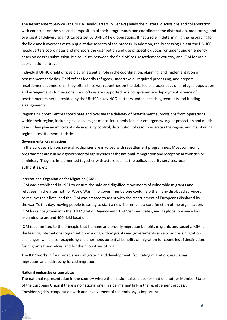The Resettlement Service (at UNHCR Headquarters in Geneva) leads the bilateral discussions and collaboration with countries on the size and composition of their programmes and coordinates the distribution, monitoring, and oversight of delivery against targets set by UNHCR field operations. It has a role in determining the resourcing for the field and it oversees certain qualitative aspects of the process. In addition, the Processing Unit at the UNHCR headquarters coordinates and monitors the distribution and use of specific quotas for urgent and emergency cases on dossier submission. It also liaises between the field offices, resettlement country, and IOM for rapid coordination of travel.

Individual UNHCR field offices play an essential role in the coordination, planning, and implementation of resettlement activities. Field offices identify refugees, undertake all required processing, and prepare resettlement submissions. They often liaise with countries on the detailed characteristics of a refugee population and arrangements for missions. Field offices are supported by a comprehensive deployment scheme of resettlement experts provided by the UNHCR's key NGO partners under specific agreements and funding arrangements.

Regional Support Centres coordinate and oversee the delivery of resettlement submissions from operations within their region, including close oversight of dossier submissions for emergency/urgent protection and medical cases. They play an important role in quality control, distribution of resources acrossthe region, and maintaining regional resettlement statistics.

#### **Governmental organisations**

In the European Union, several authorities are involved with resettlement programmes. Most commonly, programmes are run by a governmental agency suchasthenational immigrationandreception authorities or a ministry. They are implemented together with actors such as the police, security services, local authorities, etc.

## **International Organization for Migration (IOM)**

IOM was established in 1951 to ensure the safe and dignified movements of vulnerable migrants and refugees. In the aftermath of World War II, no government alone could help the many displaced survivors to resume their lives, and the IOM was created to assist with the resettlement of Europeans displaced by the war. To this day, moving people to safety to start a new life remains a core function of the organisation. IOM has since grown into the UN Migration Agency with 169 Member States, and its global presence has expanded to around 400 field locations.

IOM is committed to the principle that humane and orderly migration benefits migrants and society. IOM is the leading international organisation working with migrants and governments alike to address migration challenges, while also recognising the enormous potential benefits of migration for countries of destination, for migrants themselves, and for their countries of origin.

The IOM works in four broad areas: migration and development, facilitating migration, regulating migration, and addressing forced migration.

#### **National embassies or consulates**

The national representation in the country where the mission takes place (or that of another Member State of the European Union if there is no national one), is a permanentlink in the resettlement process. Considering this, cooperation with and involvement of the embassy is important.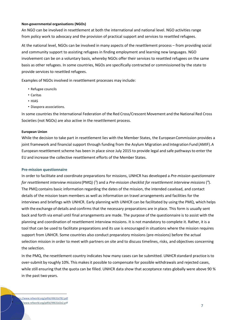#### **Non-governmental organisations (NGOs)**

An NGO can be involved in resettlement at both the international and national level. NGO activities range from policy work to advocacy and the provision of practical support and services to resettled refugees.

At the national level, NGOs can be involved in many aspects of the resettlement process – from providing social and community support to assisting refugees in finding employment and learning new languages. NGO involvement can be on a voluntary basis, whereby NGOs offer their services to resettled refugees on the same basis as other refugees. In some countries, NGOs are specifically contracted or commissioned by the state to provide services to resettled refugees.

Examples of NGOs involved in resettlement processes may include:

- Refugee councils
- Caritas
- HIAS
- Diaspora associations.

In some countries the International Federation of the Red Cross/Crescent Movement and the National Red Cross Societies (not NGOs) are also active in the resettlement process.

## **European Union**

While the decision to take part in resettlement lies with the Member States, the European Commission provides a joint framework and financial support through funding from the Asylum Migration and Integration Fund (AMIF). A European resettlement scheme has been in place since July 2015 to provide legal and safe pathwaysto enter the EU and increase the collective resettlement efforts of the Member States.

## **Pre-mission questionnaire**

In order to facilitate and coordinate preparations for missions, UNHCR has developed a *Pre-mission questionnaire*  for resettlement interview missions (PMQ) (<sup>3</sup>) and a Pre-mission checklist for resettlement interview missions (<sup>4</sup>). The PMQ contains basic information regarding the dates of the mission, the intended caseload, and contact details of the mission team members as well as information on travel arrangements and facilities for the interviews and briefings with UNHCR. Early planning with UNHCR can be facilitated by using the PMQ, which helps with the exchange of details and confirms that the necessary preparations are in place. This form is usually sent back and forth via email until final arrangements are made. The purpose of the questionnaire is to assist with the planning and coordination of resettlement interview missions. It is not mandatory to complete it. Rather, it is a tool that can be used to facilitate preparations and its use is encouraged in situations where the mission requires support from UNHCR. Some countries also conduct preparatory missions (pre-missions) before the actual selection mission in order to meet with partners on site and to discuss timelines, risks, and objectives concerning the selection.

In the PMQ, the resettlement country indicates how many cases can be submitted. UNHCR standard practice isto over-submit by roughly 10%. This makesit possible to compensate for possible withdrawals and rejected cases, while still ensuring that the quota can be filled. UNHCR data show that acceptance rates globally were above 90 % in the past two years.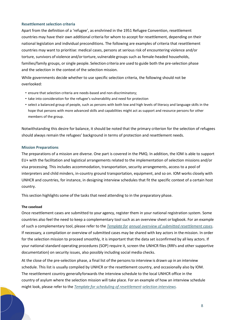#### **Resettlement selection criteria**

Apart from the definition of a 'refugee', as enshrined in the 1951 Refugee Convention, resettlement countries may have their own additional criteria for whom to accept for resettlement, depending on their national legislation and individual preconditions. The following are examples of criteria that resettlement countries may want to prioritise: medical cases, persons at serious risk of encountering violence and/or torture, survivors of violence and/or torture, vulnerable groups such as female-headed households, families/family groups, or single people. Selection criteria are used to guide both the pre-selection phase and the selection in the context of the selection mission.

While governments decide whether to use specific selection criteria, the following should not be overlooked:

- ensure that selection criteria are needs-based and non-discriminatory;
- take into consideration for the refugee's vulnerability and need for protection
- select a balanced group of people, such as persons with both low and high levels of literacy and language skills in the hope that persons with more advanced skills and capabilities might act as support and resource persons for other members of the group.

Notwithstanding this desire for balance, it should be noted that the primary criterion for the selection of refugees should always remain the refugees' background in terms of protection and resettlement needs.

#### **Mission Preparations**

The preparations of a mission are diverse. One part is covered in the PMQ. In addition, the IOM is able to support EU+ with the facilitation and logistical arrangements related to the implementation of selection missions and/or visa processing. This includes accommodation, transportation, security arrangements, access to a pool of interpreters and child minders, in-country ground transportation, equipment, and so on. IOM works closely with UNHCR and countries, for instance, in designing interview schedules that fit the specific context of a certain host country.

This section highlights some of the tasks that need attending to in the preparatory phase.

#### **The caseload**

Once resettlement cases are submitted to your agency, register them in your national registration system. Some countries also feel the need to keep a complementary tool such as an overview sheet orlogbook. For an example of such a complementary tool, please refer to the *Template for annual overview of submitted resettlement cases*. If necessary, a compilation or overview of submitted cases may be shared with key actors in the mission. In order for the selection mission to proceed smoothly, it is important that the data set isconfirmed by all key actors. If your national standard operating procedures (SOP) require it, screen the UNHCR files (RRFs and other supportive documentation) on security issues, also possibly including social media checks.

At the close of the pre-selection phase, a final list of the personsto interview is drawn up in an interview schedule. This list is usually compiled by UNHCR or the resettlement country, and occasionally also by IOM. The resettlement country generallyforwards the interview schedule to the local UNHCR office in the country of asylum where the selection mission will take place. For an example of how an interview schedule might look, please refer to the *Template for scheduling of resettlement selection interviews*.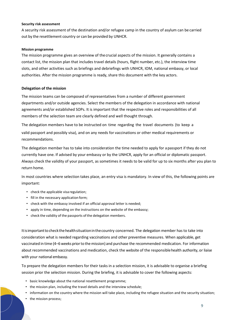#### **Security risk assessment**

A security risk assessment of the destination and/or refugee camp in the country of asylum can be carried out by the resettlement country or can be provided by UNHCR.

#### **Mission programme**

The mission programme gives an overview of thecrucial aspects of the mission. It generally contains a contact list, the mission plan that includes travel details (hours, flight number, etc.), the interview time slots, and other activities such as briefings and debriefings with UNHCR, IOM, national embassy, or local authorities. After the mission programme is ready, share this document with the key actors.

#### **Delegation of the mission**

The mission teams can be composed of representatives from a number of different government departments and/or outside agencies. Select the members of the delegation in accordance with national agreements and/or established SOPs. It is important that the respective roles and responsibilities of all members of the selection team are clearly defined and well thought through.

The delegation members have to be instructed on time regarding the travel documents (to keep a valid passport and possibly visa), and on any needs for vaccinations or other medical requirements or recommendations.

The delegation member has to take into consideration the time needed to apply for apassport if they do not currently have one. If advised by your embassy or by the UNHCR, apply for an official or diplomatic passport. Always check the validity of your passport, as sometimes it needs to be valid for up to six months after you plan to return home.

In most countries where selection takes place, an entry visa is mandatory. In view of this, the following points are important:

- check the applicable visa regulation;
- fill in the necessary application form;
- check with the embassy involved if an official approval letter is needed;
- apply in time, depending on the instructions on the website of the embassy;
- check the validity of the passports of the delegation members.

Itisimportanttocheckthehealthsituationinthecountry concerned. The delegation member has to take into consideration what is needed regarding vaccinations and other preventive measures. When applicable, get vaccinated in time (4–6 weeks priorto the mission) and purchase the recommended medication. For information about recommended vaccinations and medication, check the website of the responsiblehealth authority, or liaise with your national embassy.

To prepare the delegation members for their tasks in a selection mission, it is advisable to organise a briefing session prior the selection mission. During the briefing, it is advisable to cover the following aspects:

- basic knowledge about the national resettlement programme;
- the mission plan, including the travel details and the interview schedule;
- information on the country where the mission will take place, including the refugee situation and the security situation;
- the mission process;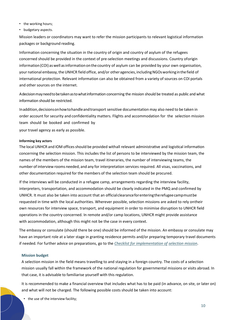- the working hours;
- budgetary aspects.

Mission leaders or coordinators may want to refer the mission participants to relevant logistical information packages or background reading.

Information concerning the situation in the country of origin and country of asylum of the refugees concerned should be provided in the context of pre-selection meetings and discussions. Country oforigin information (COI) as well as information on the country of asylum can be provided by your own organisation, your national embassy, the UNHCR field office, and/or other agencies, including NGOs working in the field of international protection. Relevant information can also be obtained from a variety of sources on COI portals and other sources on the internet.

A decisionmayneedtobetakenastowhatinformation concerning the mission should be treated as public and what information should be restricted.

Inaddition,decisionsonhowtohandleandtransport sensitive documentation may also need to be taken in order account for security and confidentiality matters. Flights and accommodation for the selection mission team should be booked and confirmed by

your travel agency as early as possible.

#### **Informing key actors**

The local UNHCR and IOM offices should be provided withall relevant administrative and logistical information concerning the selection mission. This includes the list of persons to be interviewed by the mission team, the names of the members of the mission team, travel itineraries, the number of interviewing teams, the number of interview rooms needed, and any for interpretation services required. All visas, vaccinations, and other documentation required for the members of the selection team should be procured.

If the interviews will be conducted in a refugee camp, arrangements regarding the interview facility, interpreters, transportation, and accommodation should be clearly indicated in the PMQ and confirmed by UNHCR. It must also be taken into account that an officialclearanceforenteringtherefugeecampmustbe requested in time with the local authorities. Wherever possible, selection missions are asked to rely ontheir own resources for interview space, transport, and equipment in order to minimise disruption to UNHCR field operations in the country concerned. In remote and/or camp locations, UNHCR might provide assistance with accommodation, although this might not be the case in every context.

The embassy or consulate (should there be one) should be informed of the mission. An embassy or consulate may have an important role at a later stage in granting residence permits and/or preparing temporary travel documents if needed. For further advice on preparations, go to the *Checklist for implementation of selection mission*.

## **Mission budget**

A selection mission in the field means travelling to and staying in a foreign country. The costs of a selection mission usually fall within the framework of the national regulation for governmental missions or visits abroad. In that case, it is advisable to familiarise yourself with this regulation.

It is recommended to make a financial overview that includes what has to be paid (in advance, on site, or later on) and what will not be charged. The following possible costs should be taken into account:

• the use of the interview facility;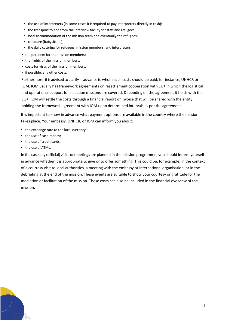- the use of interpreters (in some cases it isrequired to pay interpreters directly in cash);
- the transport to and from the interview facility for staff and refugees;
- local accommodation of the mission team and eventually the refugees;
- childcare (babysitters);
- the daily catering for refugees, mission members, and interpreters.
- the per diem for the mission members;
- the flights of the mission members;
- costs for visas of the mission members;
- if possible, any other costs.

Furthermore, it is advised to clarify in advance to whom such costs should be paid, for instance, UNHCR or IOM. IOM usually has framework agreements on resettlement cooperation with EU+ in which the logistical and operational support for selection missions are covered. Depending on the agreement it holds with the EU+, IOM will settle the costs through a financial report or invoice that will be shared with the entity holding the framework agreement with IOM upon determined intervals as per the agreement.

It is important to know in advance what payment options are available in the country where the mission takes place. Your embassy, UNHCR, or IOM can inform you about:

- the exchange rate to the local currency;
- the use of cash money;
- the use of credit cards;
- the use of ATMs.

In the case any (official) visits or meetings are planned in the mission programme, you should inform yourself in advance whether it is appropriate to give or to offer something. This could be, for example, in the context of a courtesy visit to local authorities, a meeting with the embassy or international organisation, or in the debriefing at the end of the mission. These events are suitable to show your courtesy or gratitude for the mediation or facilitation of the mission. These costs can also be included in the financial overview of the mission.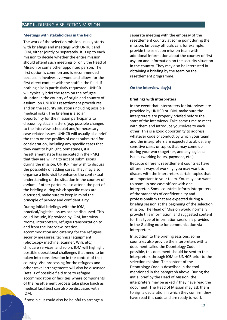## **PART II. DURING A SELECTION MISSION**

#### **Meetings with stakeholders in the field**

The work of the selection mission usually starts with briefings and meetings with UNHCR and IOM, either jointly or separately. It is up to each mission to decide whether the entire mission should attend such meetings or only the Head of Mission or some other appointed person. The first option is common and is recommended because it involves everyone and allows for the first direct contact with the staff in the field. If nothing else is particularly requested, UNHCR will typically brief the team on the refugee situation in the country of origin and country of asylum, on UNHCR's resettlement procedures, and on the security situation (including possible medical risks). The briefing is also an opportunity for the mission participants to discuss logistical matters (e.g. possible changes to the interview schedule) and/or necessary case-related issues. UNHCR will usually also brief the team on the profiles of cases submitted for consideration, including any specific cases that they want to highlight. Sometimes, if a resettlement state has indicated in the PMQ that they are willing to accept submissions during the mission, UNHCR may wish to discuss the possibility of adding cases. They may also organise a field visit to enhance the contextual understanding of the situation in the country of asylum. If other partners also attend the part of the briefing during which specific cases are discussed, make sure to keep in mind the principle of privacy and confidentiality.

During initial briefings with the IOM, practical/logistical issues can be discussed. This could include, if provided by IOM, interview rooms, interpreters, refugee transportation to and from the interview location, accommodation and catering for the refugees, security measures, technical equipment (photocopy machine, scanner, Wifi, etc.), childcare services, and so on. IOM will highlight possible operational challenges that need to be taken into consideration in the context of that country. Visa processing for the refugees and other travel arrangements will also be discussed. Details of possible field trips to refugee accommodation or facilities where components of the resettlement process take place (such as medical facilities) can also be discussed with IOM.

separate meeting with the embassy of the resettlement country at some point during the mission. Embassy officials can, for example, provide the selection mission team with additional information about the country of first asylum and information on the security situation in the country. They may also be interested in obtaining a briefing by the team on the resettlement programme.

#### **On the interview day(s)**

#### **Briefings with interpreters**

In the event that interpreters for interviews are provided by UNHCR or IOM, make sure the interpreters are properly briefed before the start of the interviews. Take some time to meet with them and introduce yourselves to each other. This is a good opportunity to address whatever code of conduct by which your team and the interpreters are expected to abide, any sensitive cases or topics that may come up during your work together, and any logistical issues (working hours, payment, etc.).

Because different resettlement countries have different ways of working, you may want to discuss with the interpreters certain topics that are important to your team. You may also want to team up one case officer with one interpreter. Some countries inform interpreters of the standards of confidentiality and professionalism that are expected during a briefing session at the beginning of the selection mission. The Head of Mission would normally provide this information, and suggested content for this type of information session is provided in the Guiding note for communication via interpreters.

In addition to the briefing sessions, some countries also provide the interpreters with a document called the Deontology Code. If possible, this document should be sent to the interpreters through IOM or UNHCR prior to the selection mission. The content of the Deontology Code is described in the tool mentioned in the paragraph above. During the initial brief by the Head of Mission, the interpreters may be asked if they have read the document. The Head of Mission may ask them to sign a declaration in which they confirm they have read this code and are ready to work

If possible, it could also be helpful to arrange a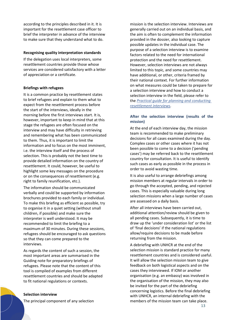according to the principles described in it. It is important for the resettlement case officer to brief the interpreter in advance of the interview to make sure that they understand what to do.

#### **Recognising quality interpretation standards**

If the delegation uses local interpreters, some resettlement countries provide those whose services are considered satisfactory with a letter of appreciation or a certificate.

## **Briefings with refugees**

It is a common practice by resettlement states to brief refugees and explain to them what to expect from the resettlement process before the start of the interviews, ideally in the morning before the first interviews start. It is, however, important to keep in mind that at this stage the refugees are often focused on the interview and may have difficulty in retrieving and remembering what has been communicated to them. Thus, it is important to limit the information and to focus on the most imminent, i.e. the interview itself and the process of selection. This is probably not the best time to provide detailed information on the country of resettlement. It could, however, be useful to highlight some key messages on the procedure or on the consequences of resettlement (e.g. right to family reunification, etc.).

The information should be communicated verbally and could be supported by information brochures provided to each family or individual. To make this briefing as efficient as possible, try to organise it in a quiet setting (without small children, if possible) and make sure the interpreter is well understood. It may be recommended to limit the briefing to a maximum of 30 minutes. During these sessions, refugees should be encouraged to ask questions so that they can come prepared to the interviews.

As regards the content of such a session, the most important areas are summarised in the Guiding note for preparatory briefings of refugees. Please note that the content of this tool is compiled of examples from different resettlement countries and should be adapted to fit national regulations or contexts.

#### **Selection interview**

The principal component of any selection

mission is the selection interview. Interviews are generally carried out on an individual basis, and the aim is often to complement the information provided in the dossier, also looking to capture possible updates in the individual case. The purpose of a selection interview is to examine factors related to the need for international protection and the need for resettlement. However, selection interviews are not always limited to this topic, and some countries may have additional, or other, criteria framed by their national context. For further information on what measures could be taken to prepare for a selection interview and how to conduct a selection interview in the field, please refer to the *Practical guide for planning and conducting resettlement interviews*.

## **After the selection interview (results of the mission)**

At the end of each interview day, the mission team is recommended to make preliminary decisions for all cases examined during the day. Complex cases or other cases where it has not been possible to come to a decision ('pending cases') may be referred back to the resettlement country for consultation. It is useful to identify such cases as early as possible in the process in order to avoid wasting time.

It is also useful to arrange debriefings among mission members at regular intervals in order to go through the accepted, pending, and rejected cases. This is especially valuable during long selection missions when a large number of cases are assessed on a daily basis.

After all interviews have been carried out, additional attention/review should be given to all pending cases. Subsequently, it is time to draw up the 'under consideration list' or the list of 'final decisions' if the national regulations allow/require decisions to be made before returning from the mission.

A debriefing with UNHCR at the end of the selection mission is standard practice for many resettlement countries and is considered useful. It will allow the selection mission team to give feedback on both logistical aspects and on the cases they interviewed. If IOM or another organisation (e.g. an embassy) was involved in the organisation of the mission, they may also be invited for the part of the debriefing concerning logistics. Before the final debriefing with UNHCR, an internal debriefing with the members of the mission team can take place.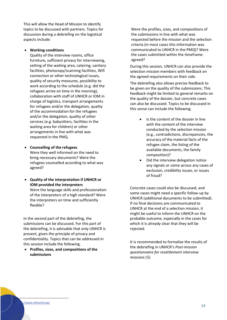This will allow the Head of Mission to identify topics to be discussed with partners. Topics for discussion during a debriefing on the logistical aspects include:

• **Working conditions** 

Quality of the interview rooms, office furniture, sufficient privacy for interviewing, setting of the waiting area, catering, sanitary facilities, photocopy/scanning facilities, Wifi connection or other technological issues, quality of security measures, possibility to work according to the schedule (e.g. did the refugees arrive on time in the morning), collaboration with staff of UNHCR or IOM in charge of logistics, transport arrangements for refugees and/or the delegation, quality of the accommodation for the refugees and/or the delegation, quality of other services (e.g. babysitters, facilities in the waiting area for children) or other arrangements in line with what was requested in the PMQ.

- **Counselling of the refugees** Were they well informed on the need to bring necessary documents? Were the refugees counselled according to what was agreed?
- **Quality of the interpretation if UNHCR or IOM provided the interpreters** Were the language skills and professionalism of the interpreters of a high standard? Were the interpreters on time and sufficiently flexible?

In the second part of the debriefing, the submissions can be discussed. For this part of the debriefing, it is advisable that only UNHCR is present, given the principle of privacy and confidentiality. Topics that can be addressed in this session include the following.

• **Profiles, sizes, and compositions of the submissions**

Were the profiles, sizes, and compositions of the submissions in line with what was requested before the mission and the selection criteria (in most cases this information was communicated to UNHCR in the PMQ)? Were the cases submitted within the timeframe agreed?

During this session, UNHCR can also provide the selection mission members with feedback on the agreed requirements on their side.

The debriefing also allows precise feedback to be given on the quality of the submissions. This feedback might be limited to general remarks on the quality of the dossier, but concrete cases can also be discussed. Topics to be discussed in this sense can include the following.

- Is the content of the dossier in line with the content of the interview conducted by the selection mission (e.g., contradictions, discrepancies, the accuracy of the material facts of the refugee claim, the listing of the available documents, the family composition)?
- Did the interview delegation notice any signals or come across any cases of exclusion, credibility issues, or issues of fraud?

Concrete cases could also be discussed, and some cases might need a specific follow-up by UNHCR (additional documents to be submitted). If no final decisions are communicated to UNHCR at the end of a selection mission, it might be useful to inform the UNHCR on the probable outcome, especially in the cases for which it is already clear that they will be rejected.

It is recommended to formalise the results of the debriefing in UNHCR's *Post-mission questionnaire for resettlement interview missions* (5)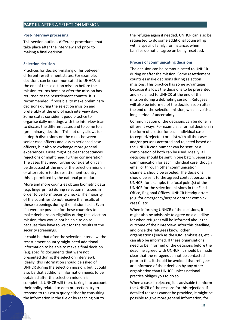## **PART III.** AFTER A SELECTION MISSION

#### **Post-interview processing**

This section outlines different procedures that take place after the interview and prior to making a final decision.

#### **Selection decision**

Practices for decision-making differ between different resettlement states. For example, decisions can be communicated to UNHCR at the end of the selection mission before the mission returns home or after the mission has returned to the resettlement country. It is recommended, if possible, to make preliminary decisions during the selection mission and preferably at the end of each interview day. Some states consider it good practice to organise daily meetings with the interview team to discuss the different cases and to come to a (preliminary) decision. This not only allows for in-depth discussions on the cases between senior case officers and less experienced case officers, but also to exchange more general experiences. Cases might be clear acceptances, rejections or might need further consideration. The cases that need further consideration can be discussed at the end of the selection mission or after return to the resettlement country if this is permitted by the national procedure.

More and more countries obtain biometric data (e.g. fingerprints) during selection missions in order to perform security checks. The majority of the countries do not receive the results of these screenings during the mission itself. Even if it were be possible for these countries to make decisions on eligibility during the selection mission, they would not be able to do so because they have to wait for the results of the security screenings.

It could be that after the selection interview, the resettlement country might need additional information to be able to make a final decision (e.g. specific documents that were not presented during the selection interview). Ideally, this information should be asked of UNHCR during the selection mission, but it could also be that additional information needs to be obtained after the selection mission is completed. UNHCR will then, taking into account their policy related to data protection, try to respond to this extra query either by consulting the information in the file or by reaching out to

the refugee again if needed. UNHCR can also be requested to do some additional counselling with a specific family, for instance, when families do not all agree on being resettled.

#### **Process of communicating decisions**

The decision can be communicated to UNHCR during or after the mission. Some resettlement countries make decisions during selection missions. This practice has some advantages because it allows the decisions to be presented and explained to UNHCR at the end of the mission during a debriefing session. Refugees will also be informed of the decision soon after the end of the selection mission, which avoids a long period of uncertainty.

Communication of the decisions can be done in different ways. For example, a formal decision in the form of a letter for each individual case (accepted/rejected) or a list with all the cases and/or persons accepted and rejected based on the UNHCR case number can be sent, or a combination of both can be used. Ideally, all decisions should be sent in one batch. Separate communication for each individual case, though email or through other communication channels, should be avoided. The decisions should be sent to the agreed contact persons in UNHCR, for example, the focal point(s) of the UNHCR for the selection missions in the Field Office, Regional Offices, UNHCR Headquarters (e.g. for emergency/urgent or other complex cases), etc.

When informing UNHCR of the decisions, it might also be advisable to agree on a deadline for when refugees will be informed about the outcome of their interview. After this deadline, and once the refugees know, other organisations (such as the IOM, embassies, etc.) can also be informed. If these organisations need to be informed of the decisions before the deadline agreed with UNHCR, it should be made clear that the refugees cannot be contacted prior to this. It should be avoided that refugees are informed of their decision by any other organisation than UNHCR unless national practice obliges you to do so.

When a case is rejected, it is advisable to inform the UNHCR of the reasons for this rejection. If detailed reasons cannot be provided, it might be possible to give more general information, for